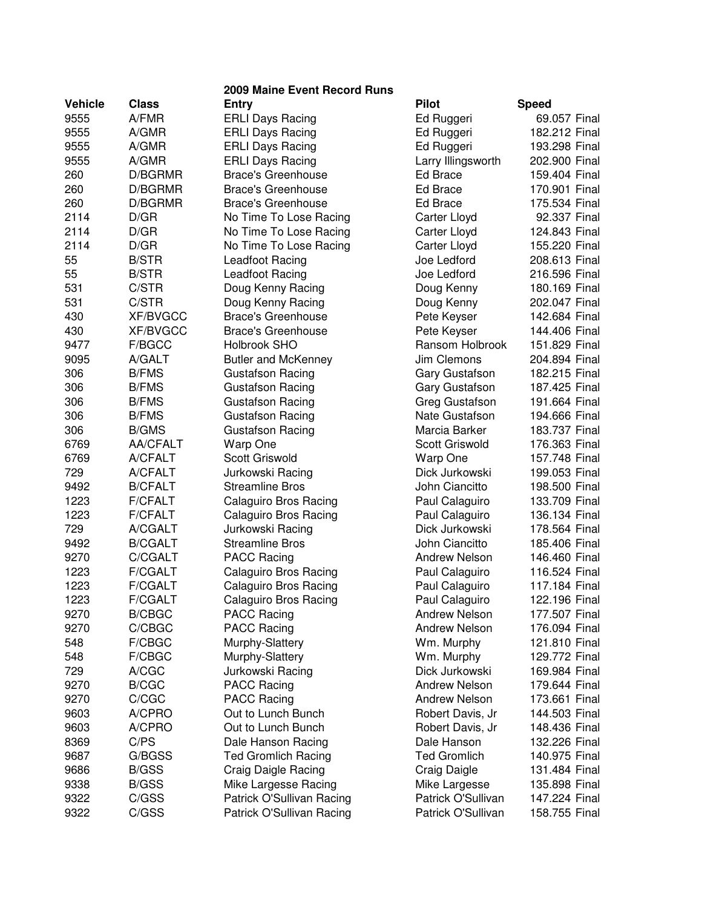|                |                 | 2009 Maine Event Record Runs |                      |               |
|----------------|-----------------|------------------------------|----------------------|---------------|
| <b>Vehicle</b> | <b>Class</b>    | <b>Entry</b>                 | <b>Pilot</b>         | <b>Speed</b>  |
| 9555           | A/FMR           | <b>ERLI Days Racing</b>      | Ed Ruggeri           | 69.057 Final  |
| 9555           | A/GMR           | <b>ERLI Days Racing</b>      | Ed Ruggeri           | 182.212 Final |
| 9555           | A/GMR           | <b>ERLI Days Racing</b>      | Ed Ruggeri           | 193.298 Final |
| 9555           | A/GMR           | <b>ERLI Days Racing</b>      | Larry Illingsworth   | 202.900 Final |
| 260            | D/BGRMR         | <b>Brace's Greenhouse</b>    | Ed Brace             | 159.404 Final |
| 260            | D/BGRMR         | <b>Brace's Greenhouse</b>    | Ed Brace             | 170.901 Final |
| 260            | D/BGRMR         | <b>Brace's Greenhouse</b>    | <b>Ed Brace</b>      | 175.534 Final |
| 2114           | D/GR            | No Time To Lose Racing       | Carter Lloyd         | 92.337 Final  |
| 2114           | D/GR            | No Time To Lose Racing       | Carter Lloyd         | 124.843 Final |
| 2114           | D/GR            | No Time To Lose Racing       | Carter Lloyd         | 155.220 Final |
| 55             | <b>B/STR</b>    | Leadfoot Racing              | Joe Ledford          | 208.613 Final |
| 55             | <b>B/STR</b>    | Leadfoot Racing              | Joe Ledford          | 216.596 Final |
| 531            | C/STR           | Doug Kenny Racing            | Doug Kenny           | 180.169 Final |
| 531            | C/STR           | Doug Kenny Racing            | Doug Kenny           | 202.047 Final |
| 430            | <b>XF/BVGCC</b> | <b>Brace's Greenhouse</b>    | Pete Keyser          | 142.684 Final |
| 430            | <b>XF/BVGCC</b> | <b>Brace's Greenhouse</b>    | Pete Keyser          | 144.406 Final |
| 9477           | F/BGCC          | Holbrook SHO                 | Ransom Holbrook      | 151.829 Final |
| 9095           | A/GALT          | <b>Butler and McKenney</b>   | Jim Clemons          | 204.894 Final |
| 306            | <b>B/FMS</b>    | <b>Gustafson Racing</b>      | Gary Gustafson       | 182.215 Final |
| 306            | <b>B/FMS</b>    | <b>Gustafson Racing</b>      | Gary Gustafson       | 187.425 Final |
| 306            | <b>B/FMS</b>    | <b>Gustafson Racing</b>      | Greg Gustafson       | 191.664 Final |
| 306            | <b>B/FMS</b>    | <b>Gustafson Racing</b>      | Nate Gustafson       | 194.666 Final |
| 306            | <b>B/GMS</b>    | <b>Gustafson Racing</b>      | Marcia Barker        | 183.737 Final |
| 6769           | AA/CFALT        | Warp One                     | Scott Griswold       | 176.363 Final |
| 6769           | A/CFALT         | <b>Scott Griswold</b>        | Warp One             | 157.748 Final |
| 729            | A/CFALT         | Jurkowski Racing             | Dick Jurkowski       | 199.053 Final |
| 9492           | <b>B/CFALT</b>  | <b>Streamline Bros</b>       | John Ciancitto       | 198.500 Final |
| 1223           | <b>F/CFALT</b>  | Calaguiro Bros Racing        | Paul Calaguiro       | 133.709 Final |
| 1223           | <b>F/CFALT</b>  | <b>Calaguiro Bros Racing</b> | Paul Calaguiro       | 136.134 Final |
| 729            | A/CGALT         | Jurkowski Racing             | Dick Jurkowski       | 178.564 Final |
| 9492           | <b>B/CGALT</b>  | <b>Streamline Bros</b>       | John Ciancitto       | 185.406 Final |
| 9270           | C/CGALT         | <b>PACC Racing</b>           | Andrew Nelson        | 146.460 Final |
| 1223           | <b>F/CGALT</b>  | Calaguiro Bros Racing        | Paul Calaguiro       | 116.524 Final |
| 1223           | <b>F/CGALT</b>  | Calaguiro Bros Racing        | Paul Calaguiro       | 117.184 Final |
| 1223           | <b>F/CGALT</b>  | Calaguiro Bros Racing        | Paul Calaguiro       | 122.196 Final |
| 9270           | <b>B/CBGC</b>   | <b>PACC Racing</b>           | <b>Andrew Nelson</b> | 177.507 Final |
| 9270           | C/CBGC          | <b>PACC Racing</b>           | <b>Andrew Nelson</b> | 176.094 Final |
| 548            | F/CBGC          | Murphy-Slattery              | Wm. Murphy           | 121.810 Final |
| 548            | F/CBGC          | Murphy-Slattery              | Wm. Murphy           | 129.772 Final |
| 729            | A/CGC           | Jurkowski Racing             | Dick Jurkowski       | 169.984 Final |
| 9270           | <b>B/CGC</b>    | <b>PACC Racing</b>           | <b>Andrew Nelson</b> | 179.644 Final |
| 9270           | C/CGC           | <b>PACC Racing</b>           | <b>Andrew Nelson</b> | 173.661 Final |
| 9603           | A/CPRO          | Out to Lunch Bunch           | Robert Davis, Jr     | 144.503 Final |
| 9603           | A/CPRO          | Out to Lunch Bunch           | Robert Davis, Jr     | 148.436 Final |
| 8369           | C/PS            | Dale Hanson Racing           | Dale Hanson          | 132.226 Final |
| 9687           | G/BGSS          | <b>Ted Gromlich Racing</b>   | <b>Ted Gromlich</b>  | 140.975 Final |
| 9686           | <b>B/GSS</b>    | <b>Craig Daigle Racing</b>   | Craig Daigle         | 131.484 Final |
| 9338           | <b>B/GSS</b>    | Mike Largesse Racing         | Mike Largesse        | 135.898 Final |
| 9322           | C/GSS           | Patrick O'Sullivan Racing    | Patrick O'Sullivan   | 147.224 Final |
| 9322           | C/GSS           | Patrick O'Sullivan Racing    | Patrick O'Sullivan   | 158.755 Final |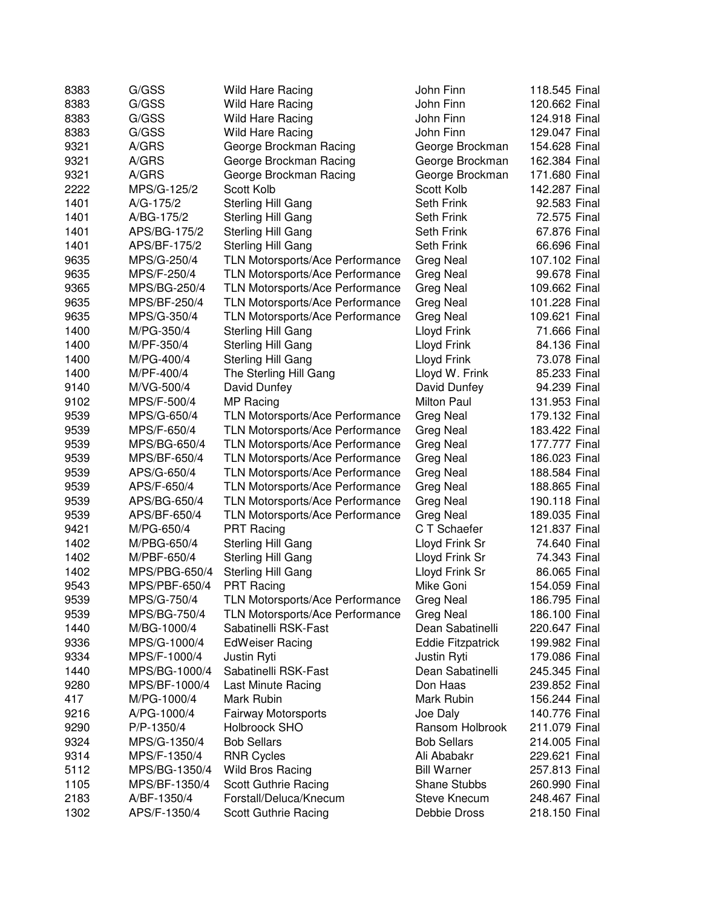| 8383 | G/GSS         | <b>Wild Hare Racing</b>                | John Finn                | 118.545 Final |
|------|---------------|----------------------------------------|--------------------------|---------------|
| 8383 | G/GSS         | <b>Wild Hare Racing</b>                | John Finn                | 120.662 Final |
| 8383 | G/GSS         | Wild Hare Racing                       | John Finn                | 124.918 Final |
| 8383 | G/GSS         | <b>Wild Hare Racing</b>                | John Finn                | 129.047 Final |
| 9321 | A/GRS         | George Brockman Racing                 | George Brockman          | 154.628 Final |
| 9321 | A/GRS         | George Brockman Racing                 | George Brockman          | 162.384 Final |
| 9321 | A/GRS         | George Brockman Racing                 | George Brockman          | 171.680 Final |
| 2222 | MPS/G-125/2   | Scott Kolb                             | Scott Kolb               | 142.287 Final |
| 1401 | A/G-175/2     | Sterling Hill Gang                     | Seth Frink               | 92.583 Final  |
| 1401 | A/BG-175/2    | Sterling Hill Gang                     | Seth Frink               | 72.575 Final  |
| 1401 | APS/BG-175/2  | Sterling Hill Gang                     | Seth Frink               | 67.876 Final  |
| 1401 | APS/BF-175/2  | Sterling Hill Gang                     | Seth Frink               | 66.696 Final  |
| 9635 | MPS/G-250/4   | <b>TLN Motorsports/Ace Performance</b> | <b>Greg Neal</b>         | 107.102 Final |
| 9635 | MPS/F-250/4   | <b>TLN Motorsports/Ace Performance</b> | <b>Greg Neal</b>         | 99.678 Final  |
| 9365 | MPS/BG-250/4  | <b>TLN Motorsports/Ace Performance</b> | <b>Greg Neal</b>         | 109.662 Final |
| 9635 | MPS/BF-250/4  | TLN Motorsports/Ace Performance        | Greg Neal                | 101.228 Final |
| 9635 | MPS/G-350/4   | TLN Motorsports/Ace Performance        | Greg Neal                | 109.621 Final |
| 1400 | M/PG-350/4    | <b>Sterling Hill Gang</b>              | Lloyd Frink              | 71.666 Final  |
| 1400 | M/PF-350/4    | Sterling Hill Gang                     | Lloyd Frink              | 84.136 Final  |
| 1400 | M/PG-400/4    | Sterling Hill Gang                     | Lloyd Frink              | 73.078 Final  |
| 1400 | M/PF-400/4    | The Sterling Hill Gang                 | Lloyd W. Frink           | 85.233 Final  |
| 9140 | M/VG-500/4    | David Dunfey                           | David Dunfey             | 94.239 Final  |
| 9102 | MPS/F-500/4   | MP Racing                              | Milton Paul              | 131.953 Final |
| 9539 | MPS/G-650/4   | TLN Motorsports/Ace Performance        | Greg Neal                | 179.132 Final |
| 9539 | MPS/F-650/4   | <b>TLN Motorsports/Ace Performance</b> | Greg Neal                | 183.422 Final |
| 9539 | MPS/BG-650/4  | <b>TLN Motorsports/Ace Performance</b> | Greg Neal                | 177.777 Final |
| 9539 | MPS/BF-650/4  | <b>TLN Motorsports/Ace Performance</b> | Greg Neal                | 186.023 Final |
| 9539 | APS/G-650/4   | <b>TLN Motorsports/Ace Performance</b> | Greg Neal                | 188.584 Final |
| 9539 | APS/F-650/4   | TLN Motorsports/Ace Performance        | Greg Neal                | 188.865 Final |
| 9539 | APS/BG-650/4  | <b>TLN Motorsports/Ace Performance</b> | Greg Neal                | 190.118 Final |
| 9539 | APS/BF-650/4  | TLN Motorsports/Ace Performance        | Greg Neal                | 189.035 Final |
| 9421 | M/PG-650/4    | <b>PRT Racing</b>                      | C T Schaefer             | 121.837 Final |
| 1402 | M/PBG-650/4   | <b>Sterling Hill Gang</b>              | Lloyd Frink Sr           | 74.640 Final  |
| 1402 | M/PBF-650/4   | <b>Sterling Hill Gang</b>              | Lloyd Frink Sr           | 74.343 Final  |
| 1402 | MPS/PBG-650/4 | <b>Sterling Hill Gang</b>              | Lloyd Frink Sr           | 86.065 Final  |
| 9543 | MPS/PBF-650/4 | <b>PRT Racing</b>                      | Mike Goni                | 154.059 Final |
| 9539 | MPS/G-750/4   | TLN Motorsports/Ace Performance        | <b>Greg Neal</b>         | 186.795 Final |
| 9539 | MPS/BG-750/4  | <b>TLN Motorsports/Ace Performance</b> | Greg Neal                | 186.100 Final |
| 1440 | M/BG-1000/4   | Sabatinelli RSK-Fast                   | Dean Sabatinelli         | 220.647 Final |
|      |               | <b>EdWeiser Racing</b>                 |                          | 199.982 Final |
| 9336 | MPS/G-1000/4  |                                        | <b>Eddie Fitzpatrick</b> |               |
| 9334 | MPS/F-1000/4  | Justin Ryti                            | Justin Ryti              | 179.086 Final |
| 1440 | MPS/BG-1000/4 | Sabatinelli RSK-Fast                   | Dean Sabatinelli         | 245.345 Final |
| 9280 | MPS/BF-1000/4 | Last Minute Racing                     | Don Haas                 | 239.852 Final |
| 417  | M/PG-1000/4   | Mark Rubin                             | Mark Rubin               | 156.244 Final |
| 9216 | A/PG-1000/4   | <b>Fairway Motorsports</b>             | Joe Daly                 | 140.776 Final |
| 9290 | P/P-1350/4    | Holbroock SHO                          | Ransom Holbrook          | 211.079 Final |
| 9324 | MPS/G-1350/4  | <b>Bob Sellars</b>                     | <b>Bob Sellars</b>       | 214.005 Final |
| 9314 | MPS/F-1350/4  | <b>RNR Cycles</b>                      | Ali Ababakr              | 229.621 Final |
| 5112 | MPS/BG-1350/4 | Wild Bros Racing                       | <b>Bill Warner</b>       | 257.813 Final |
| 1105 | MPS/BF-1350/4 | Scott Guthrie Racing                   | <b>Shane Stubbs</b>      | 260.990 Final |
| 2183 | A/BF-1350/4   | Forstall/Deluca/Knecum                 | <b>Steve Knecum</b>      | 248.467 Final |
| 1302 | APS/F-1350/4  | Scott Guthrie Racing                   | Debbie Dross             | 218.150 Final |